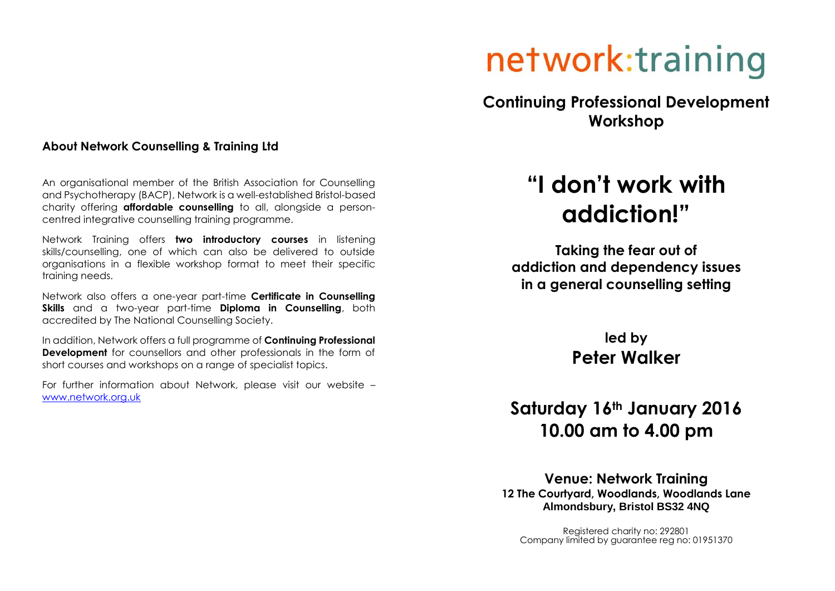#### **About Network Counselling & Training Ltd**

An organisational member of the British Association for Counselling and Psychotherapy (BACP), Network is a well-established Bristol-based charity offering **affordable counselling** to all, alongside a personcentred integrative counselling training programme.

Network Training offers **two introductory courses** in listening skills/counselling, one of which can also be delivered to outside organisations in a flexible workshop format to meet their specific training needs.

Network also offers a one-year part-time **Certificate in Counselling Skills** and a two-year part-time **Diploma in Counselling**, both accredited by The National Counselling Society.

In addition, Network offers a full programme of **Continuing Professional Development** for counsellors and other professionals in the form of short courses and workshops on a range of specialist topics.

For further information about Network, please visit our website – [www.network.org.uk](http://www.network.org.uk/)

# network:training

**Continuing Professional Development Workshop**

## **"I don't work with addiction!"**

**Taking the fear out of addiction and dependency issues in a general counselling setting**

> **led by Peter Walker**

### **Saturday 16th January 2016 10.00 am to 4.00 pm**

**Venue: Network Training 12 The Courtyard, Woodlands, Woodlands Lane Almondsbury, Bristol BS32 4NQ** 

Registered charity no: 292801 Company limited by guarantee reg no: 01951370